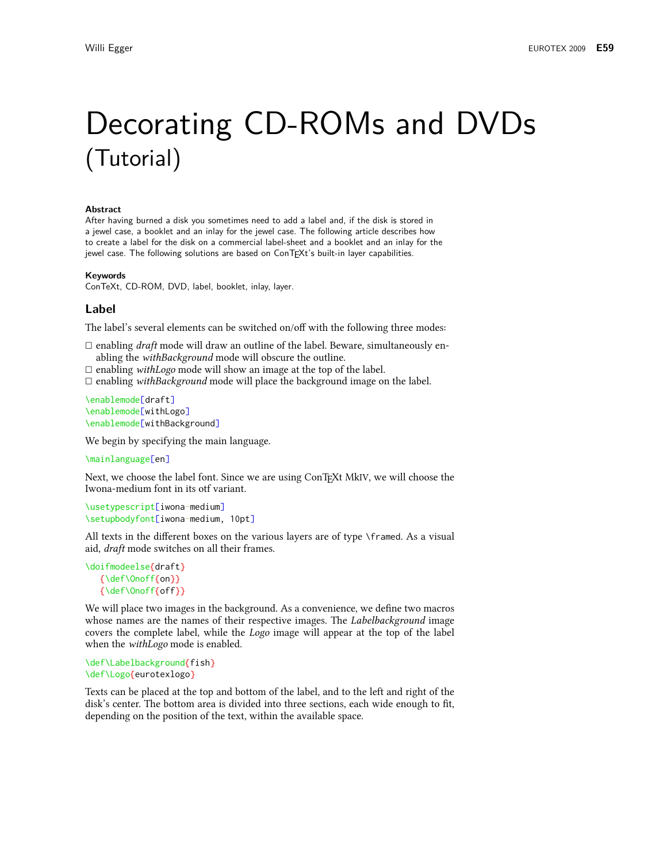# Decorating CD-ROMs and DVDs (Tutorial)

#### **Abstract**

After having burned a disk you sometimes need to add a label and, if the disk is stored in a jewel case, a booklet and an inlay for the jewel case. The following article describes how to create a label for the disk on a commercial label-sheet and a booklet and an inlay for the jewel case. The following solutions are based on ConTFXt's built-in layer capabilities.

#### Kevwords

ConTeXt, CD-ROM, DVD, label, booklet, inlay, layer.

## Label

The label's several elements can be switched on/off with the following three modes:

 $\Box$  enabling *draft* mode will draw an outline of the label. Beware, simultaneously enabling the withBackground mode will obscure the outline.

 $\Box$  enabling *withLogo* mode will show an image at the top of the label.

 $\Box$  enabling with Background mode will place the background image on the label.

```
\enablemode[draft]
\enablemode[withLogo]
\enablemode[withBackground]
```
We begin by specifying the main language.

\mainlanguage[en]

Next, we choose the label font. Since we are using ConTEXt MkIV, we will choose the Iwona-medium font in its otf variant.

```
\usetypescript[iwona-medium]
\setupbodyfont[iwona-medium, 10pt]
```
All texts in the different boxes on the various layers are of type \framed. As a visual aid, *draft* mode switches on all their frames.

```
\doifmodeelse{draft}
   {\def\Onoff{on}}
   {\def\Onoff{off}}
```
We will place two images in the background. As a convenience, we define two macros whose names are the names of their respective images. The *Labelbackground* image covers the complete label, while the *Logo* image will appear at the top of the label when the *withLogo* mode is enabled.

```
\def\Labelbackground{fish}
\def\Logo{eurotexlogo}
```
Texts can be placed at the top and bottom of the label, and to the left and right of the disk's center. The bottom area is divided into three sections, each wide enough to fit, depending on the position of the text, within the available space.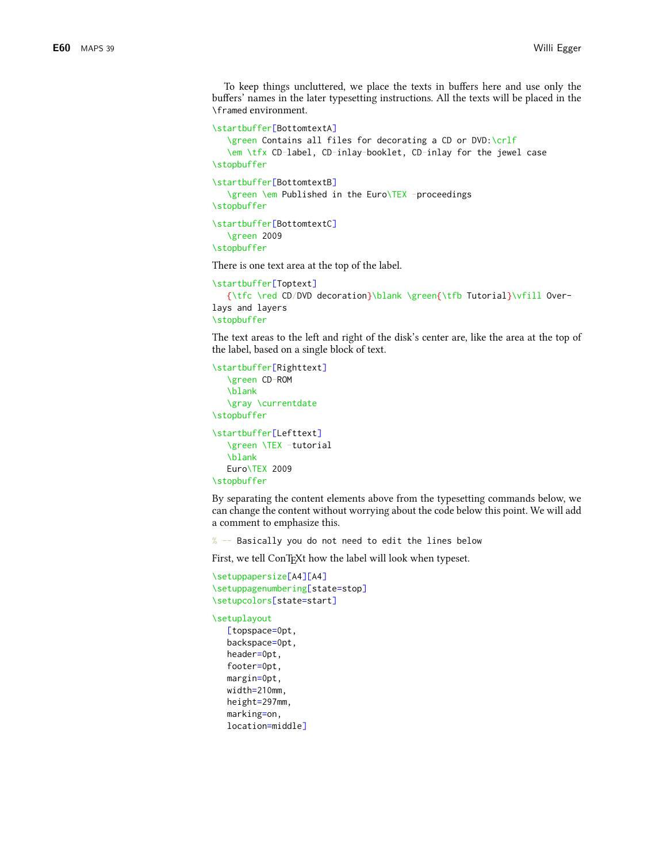To keep things uncluttered, we place the texts in buffers here and use only the buffers' names in the later typesetting instructions. All the texts will be placed in the \framed environment.

```
\startbuffer[BottomtextA]
   \green Contains all files for decorating a CD or DVD:\crlf
   \em \tfx CD-label, CD-inlay-booklet, CD-inlay for the jewel case
\stopbuffer
\startbuffer[BottomtextB]
   \green \em Published in the Euro\TEX -proceedings
\stopbuffer
\startbuffer[BottomtextC]
   \green 2009
```

```
\stopbuffer
```
There is one text area at the top of the label.

```
\startbuffer[Toptext]
```

```
{\tfc \red CD/DVD decoration}\blank \green{\tfb Tutorial}\vfill Over-
lays and layers
\stopbuffer
```
The text areas to the left and right of the disk's center are, like the area at the top of the label, based on a single block of text.

```
\startbuffer[Righttext]
   \green CD-ROM
   \blank
   \gray \currentdate
\stopbuffer
\startbuffer[Lefttext]
   \green \TEX -tutorial
   \blank
   Euro\TEX 2009
\stopbuffer
```
By separating the content elements above from the typesetting commands below, we can change the content without worrying about the code below this point. We will add a comment to emphasize this.

% -- Basically you do not need to edit the lines below

First, we tell ConTEXt how the label will look when typeset.

```
\setuppapersize[A4][A4]
\setuppagenumbering[state=stop]
\setupcolors[state=start]
```

```
\setuplayout
```

```
[topspace=0pt,
backspace=0pt,
header=0pt,
footer=0pt,
margin=0pt,
width=210mm,
height=297mm,
marking=on,
location=middle]
```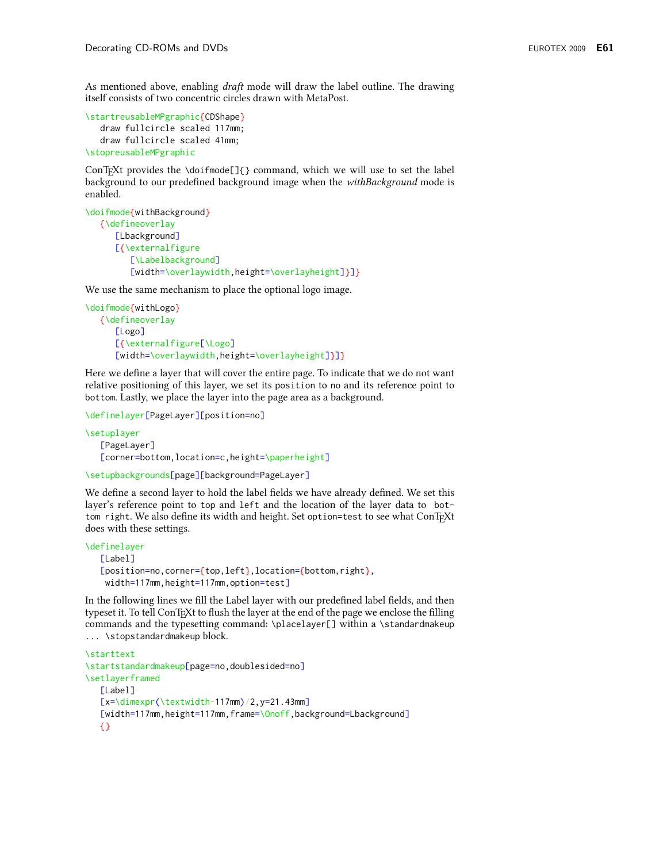As mentioned above, enabling *draft* mode will draw the label outline. The drawing itself consists of two concentric circles drawn with MetaPost.

```
\startreusableMPgraphic{CDShape}
   draw fullcircle scaled 117mm;
   draw fullcircle scaled 41mm;
\stopreusableMPgraphic
```
ConTrXt provides the \doifmode[]{} command, which we will use to set the label background to our predefined background image when the withBackground mode is enabled.

```
\doifmode{withBackground}
   {\defineoverlay
      [Lbackground]
      [{\externalfigure
         [\Labelbackground]
         [width=\overlaywidth, height=\overlayheight]}]}
```
We use the same mechanism to place the optional logo image.

```
\doifmode{withLogo}
   {\defineoverlay
      [Logo]
      [{\externalfigure[\Logo]
      [width=\overlaywidth, height=\overlayheight]}]}
```
Here we define a layer that will cover the entire page. To indicate that we do not want relative positioning of this layer, we set its position to no and its reference point to bottom. Lastly, we place the layer into the page area as a background.

```
\definelayer[PageLayer][position=no]
```

```
\setuplayer
   [PageLayer]
   [corner=bottom, location=c, height=\paperheight]
```

```
\setupbackgrounds[page][background=PageLayer]
```
We define a second layer to hold the label fields we have already defined. We set this layer's reference point to top and left and the location of the layer data to bottom right. We also define its width and height. Set option=test to see what ConTFXt does with these settings.

```
\definelayer
   [Label][position=no, corner={top, left}, location={bottom, right},
    width=117mm, height=117mm, option=test]
```
In the following lines we fill the Label layer with our predefined label fields, and then typeset it. To tell ConTFXt to flush the layer at the end of the page we enclose the filling commands and the typesetting command: \placelayer[] within a \standardmakeup ... \stopstandardmakeup block.

```
\starttext
\startstandardmakeup[page=no,doublesided=no]
\setlayerframed
   [Label][x=\dimexpr(\textwidth-117mm)/2,y=21.43mm]
   [width=117mm, height=117mm, frame=\Onoff, background=Lbackground]
   3
```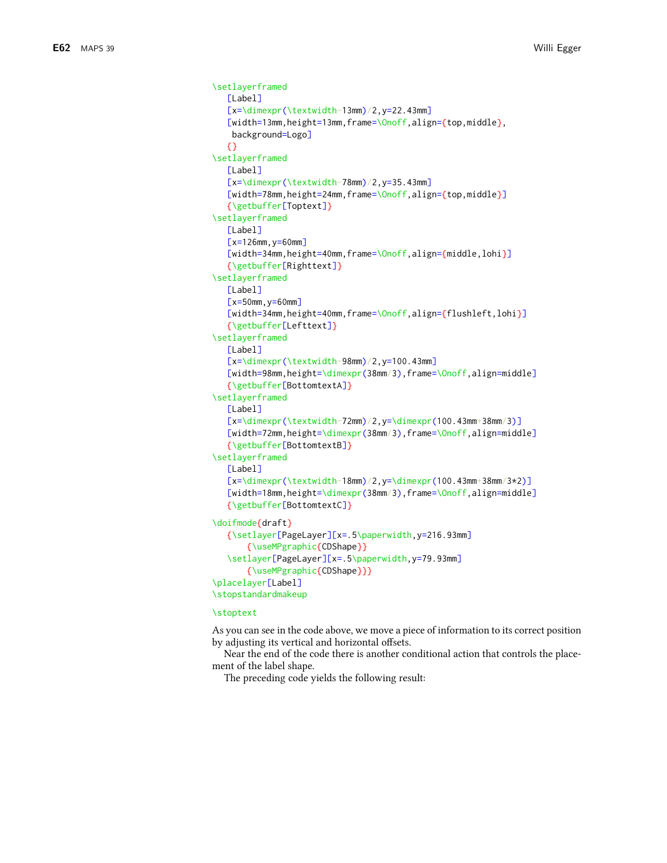```
\setlaverframed
   [Label]
   [x=\dimexpr(\textwidth-13mm)/2,y=22.43mm]
   [width=13mm, height=13mm, frame=\Onoff, align={top, middle},
   background=Logo]
   \{ \}\setlayerframed
   Labell
   [x=\dimexpr(\textwidth-78mm)/2,y=35.43mm]
   [width=78mm, height=24mm, frame=\Onoff, align={top, middle}]
   {\getbuffer[Toptext]}
\setlayerframed
   [Label][x=126mm, y=60mm]
   [width=34mm, height=40mm, frame=\Onoff, align={middle, lohi}]
   {\getbuffer[Righttext]}
\setlayerframed
   [Label]
   \left[x=50mm, y=60mm]
   [width=34mm, height=40mm, frame=\Onoff, align={flushleft, lohi}]
   {\getbuffer[Lefttext]}
\setlayerframed
   Labell
   [x=\dimexpr(\textwidth-98mm)/2,y=100.43mm]
   [width=98mm, height=\dimexpr(38mm/3), frame=\Onoff, align=middle]
   {\getbuffer[BottomtextA]}
\setlayerframed
   [Label]
   [x=\dim\exp(\text{textwidth}-72mm)/2,y=\dim\exp(100.43mm+38mm/3)][width=72mm, height=\dimexpr(38mm/3), frame=\Onoff, align=middle]
   {\getbuffer[BottomtextB]}
\setlayerframed
   [Label]
   [x=\dim\{\text{textwidth}-18mm\}/2, y=\dim\(100.43mm+38mm/3*2)]
   [width=18mm, height=\dimexpr(38mm/3), frame=\Onoff, align=middle]
   {\getbuffer[BottomtextC]}
\doifmode{draft}
   {\setlayer[PageLayer][x=.5\paperwidth, y=216.93mm]
       {\useMPgraphic{CDShape}}
   \setlayer[PageLayer][x=.5\paperwidth, y=79.93mm]
       {\useMPgraphic{CDShape}}}
\placelayer[Label]
\stopstandardmakeup
```
#### **\stoptext**

As you can see in the code above, we move a piece of information to its correct position by adjusting its vertical and horizontal offsets.

Near the end of the code there is another conditional action that controls the placement of the label shape.

The preceding code yields the following result: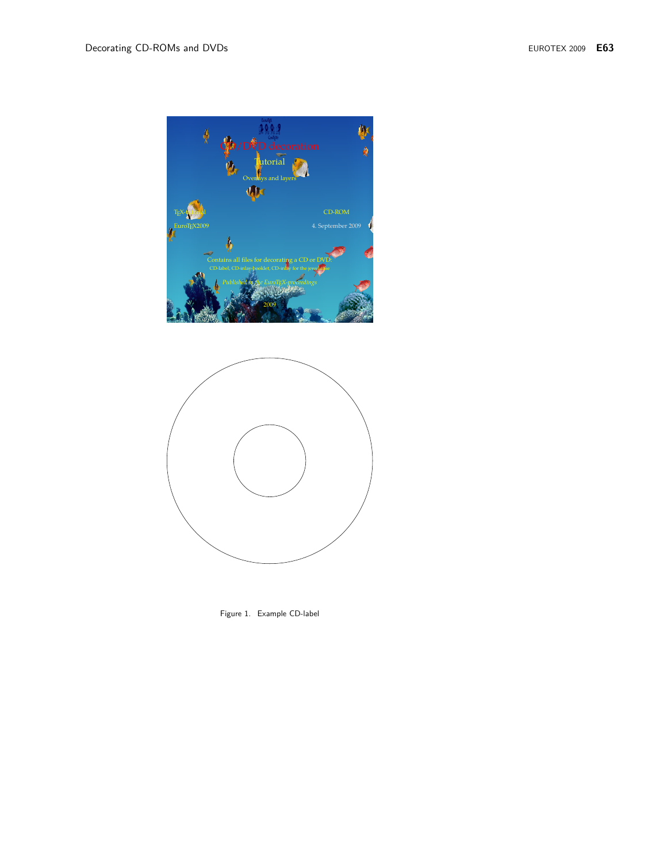



Figure 1. Example CD-label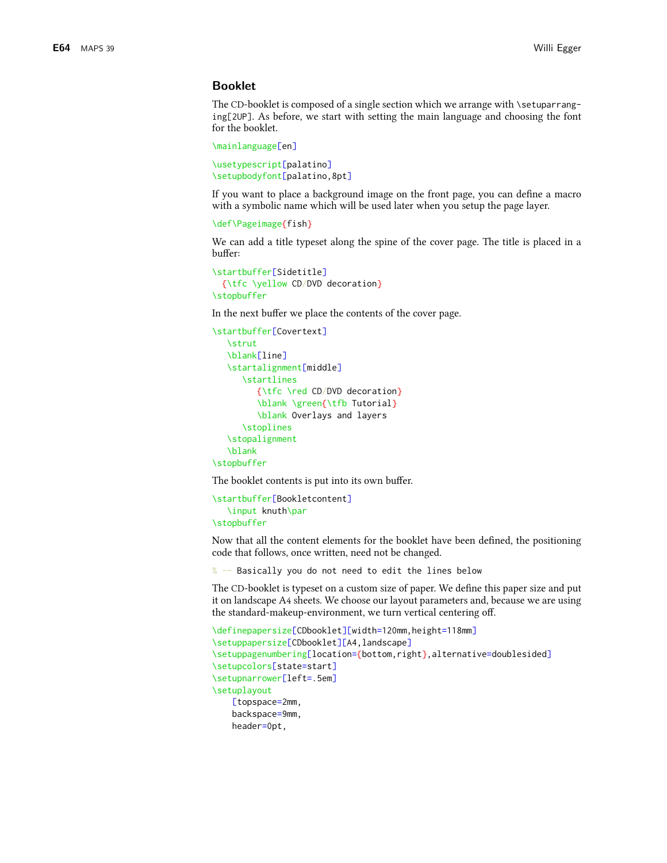## **Booklet**

The CD-booklet is composed of a single section which we arrange with \setuparranging[2UP]. As before, we start with setting the main language and choosing the font for the booklet.

```
\mainlanguage[en]
```

```
\usetypescript[palatino]
\setupbodyfont[palatino,8pt]
```
If you want to place a background image on the front page, you can define a macro with a symbolic name which will be used later when you setup the page layer.

```
\def\Pageimage{fish}
```
We can add a title typeset along the spine of the cover page. The title is placed in a buffer:

```
\startbuffer[Sidetitle]
  {\tfc \yellow CD/DVD decoration}
\stopbuffer
```
In the next buffer we place the contents of the cover page.

```
\startbuffer[Covertext]
   Nstrut
   \blank[line]
   \startalignment[middle]
      \startlines
         {\tfc \red CD/DVD decoration}
         \blank \green{\tfb Tutorial}
         \blank Overlays and layers
      \stoplines
   \stopalignment
   \blank
\stopbuffer
```
The booklet contents is put into its own buffer.

```
\startbuffer[Bookletcontent]
   \input knuth\par
\stopbuffer
```
Now that all the content elements for the booklet have been defined, the positioning code that follows, once written, need not be changed.

% -- Basically you do not need to edit the lines below

The CD-booklet is typeset on a custom size of paper. We define this paper size and put it on landscape A4 sheets. We choose our layout parameters and, because we are using the standard-makeup-environment, we turn vertical centering off.

```
\definepapersize[CDbooklet][width=120mm, height=118mm]
\setuppapersize[CDbooklet][A4,landscape]
\setuppagenumbering[location={bottom,right},alternative=doublesided]
\setupcolors[state=start]
\setupnarrower[left=.5em]
\setuplayout
    [topspace=2mm,
    backspace=9mm,
    header=0pt,
```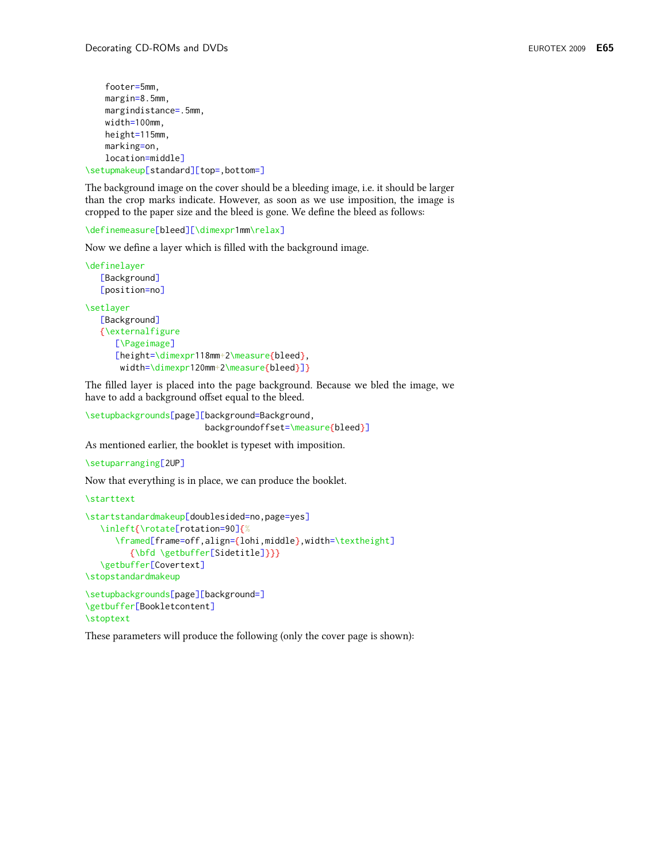```
footer=5mm.
    margin=8.5mm,
    margindistance=.5mm,
    width=100mm,
    height=115mm,
    marking=on,
    location=middle]\setupmakeup[standard][top=.bottom=]
```
The background image on the cover should be a bleeding image, i.e. it should be larger than the crop marks indicate. However, as soon as we use imposition, the image is cropped to the paper size and the bleed is gone. We define the bleed as follows:

```
\definemeasure[bleed][\dimexpr1mm\relax]
```
Now we define a layer which is filled with the background image.

```
\definelayer
   [Background]
   [position=no]
\setlayer
   [Background]
   {\externalfigure
      [\Pageimage]
      [height=\dimexpr118mm+2\measure{bleed},
       width=\dimexpr120mm+2\measure{bleed}]}
```
The filled layer is placed into the page background. Because we bled the image, we have to add a background offset equal to the bleed.

```
\setupbackgrounds[page][background=Background,
                        backgroundoffset=\measure{bleed}]
```
As mentioned earlier, the booklet is typeset with imposition.

```
\setuparranging[2UP]
```
Now that everything is in place, we can produce the booklet.

```
\starttext
```

```
\startstandardmakeup[doublesided=no,page=yes]
   \inleft{\rotate[rotation=90]{%
     \framed[frame=off,align={lohi,middle},width=\textheight]
         {\bfd \getbuffer[Sidetitle]}}}
   \getbuffer[Covertext]
\stopstandardmakeup
\setupbackgrounds[page][background=]
```

```
\getbuffer[Bookletcontent]
\stoptext
```
These parameters will produce the following (only the cover page is shown):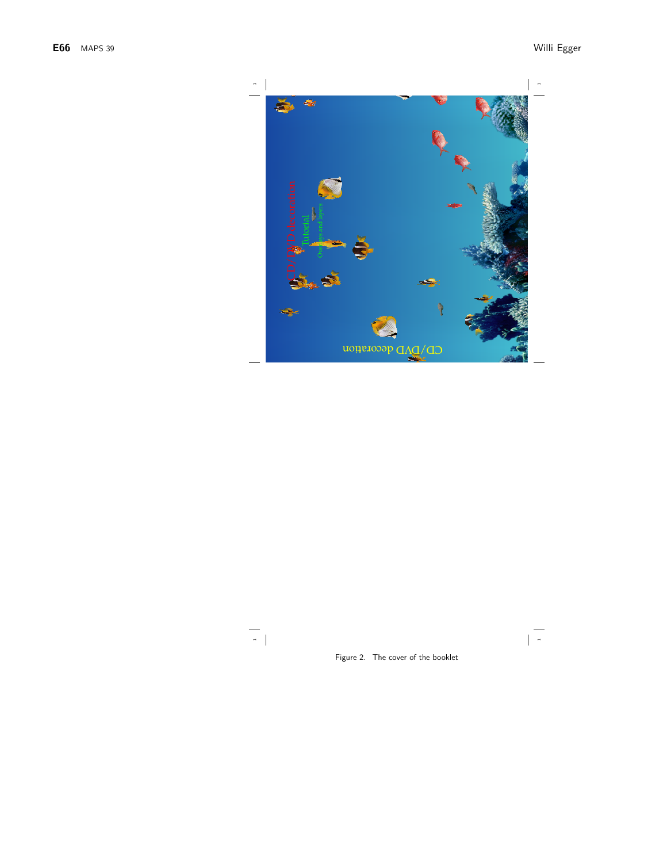

 $\begin{array}{c|c} \hline \rule{0pt}{2ex} \rule{0pt}{2ex} \rule{0pt}{2ex} \rule{0pt}{2ex} \rule{0pt}{2ex} \rule{0pt}{2ex} \rule{0pt}{2ex} \rule{0pt}{2ex} \rule{0pt}{2ex} \rule{0pt}{2ex} \rule{0pt}{2ex} \rule{0pt}{2ex} \rule{0pt}{2ex} \rule{0pt}{2ex} \rule{0pt}{2ex} \rule{0pt}{2ex} \rule{0pt}{2ex} \rule{0pt}{2ex} \rule{0pt}{2ex} \rule{0pt}{2ex} \rule{0pt}{2ex} \rule{0pt}{2ex} \rule{0pt}{2ex} \$ 

Figure 2. The cover of the booklet

 $\begin{array}{|c|} \hline \quad \quad & \quad \quad & \quad \quad \\ \hline \quad \quad & \quad \quad & \quad \quad \\ \hline \quad \quad & \quad \quad & \quad \quad \\ \hline \end{array}$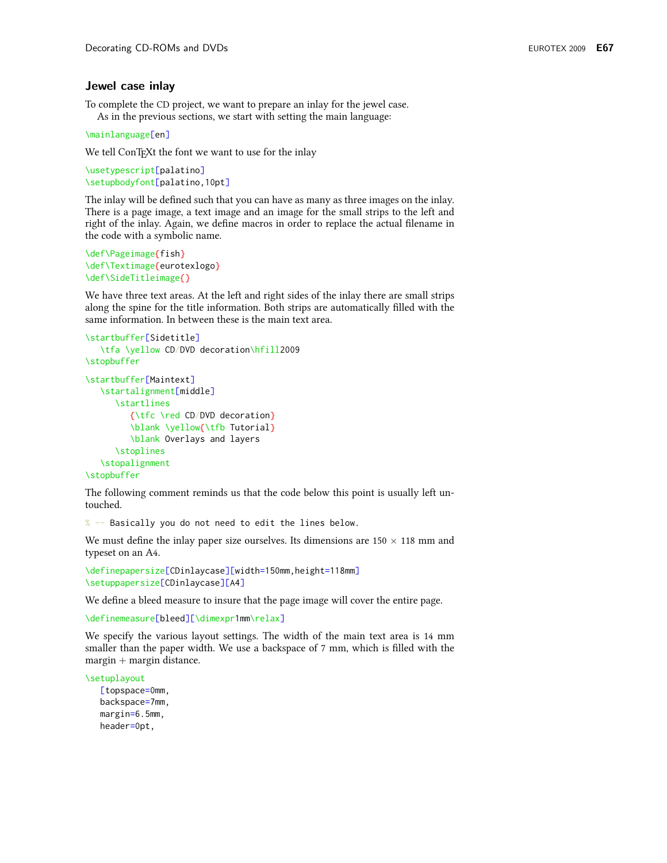#### Jewel case inlay

To complete the CD project, we want to prepare an inlay for the jewel case. As in the previous sections, we start with setting the main language:

\mainlanguage[en]

We tell ConTrXt the font we want to use for the inlay

```
\usetypescript[palatino]
\setupbodyfont[palatino,10pt]
```
The inlay will be defined such that you can have as many as three images on the inlay. There is a page image, a text image and an image for the small strips to the left and right of the inlay. Again, we define macros in order to replace the actual filename in the code with a symbolic name.

```
\def\Pageimage{fish}
\def\Textimage{eurotexlogo}
\def\SideTitleimage{}
```
We have three text areas. At the left and right sides of the inlay there are small strips along the spine for the title information. Both strips are automatically filled with the same information. In between these is the main text area.

```
\startbuffer[Sidetitle]
   \tfa \yellow CD/DVD decoration\hfill2009
\stopbuffer
\startbuffer[Maintext]
   \startalignment[middle]
      \startlines
         {\tfc \red CD/DVD decoration}
         \blank \yellow{\tfb Tutorial}
         \blank Overlays and layers
      \stoplines
   \stopalignment
\stopbuffer
```
The following comment reminds us that the code below this point is usually left untouched.

% -- Basically you do not need to edit the lines below.

We must define the inlay paper size ourselves. Its dimensions are  $150 \times 118$  mm and typeset on an A4.

```
\definepapersize[CDinlaycase][width=150mm, height=118mm]
\setuppapersize[CDinlaycase][A4]
```
We define a bleed measure to insure that the page image will cover the entire page.

\definemeasure[bleed][\dimexpr1mm\relax]

We specify the various layout settings. The width of the main text area is 14 mm smaller than the paper width. We use a backspace of 7 mm, which is filled with the  $margin + margin distance.$ 

\setuplayout

[topspace=0mm, backspace=7mm, margin=6.5mm, header=0pt,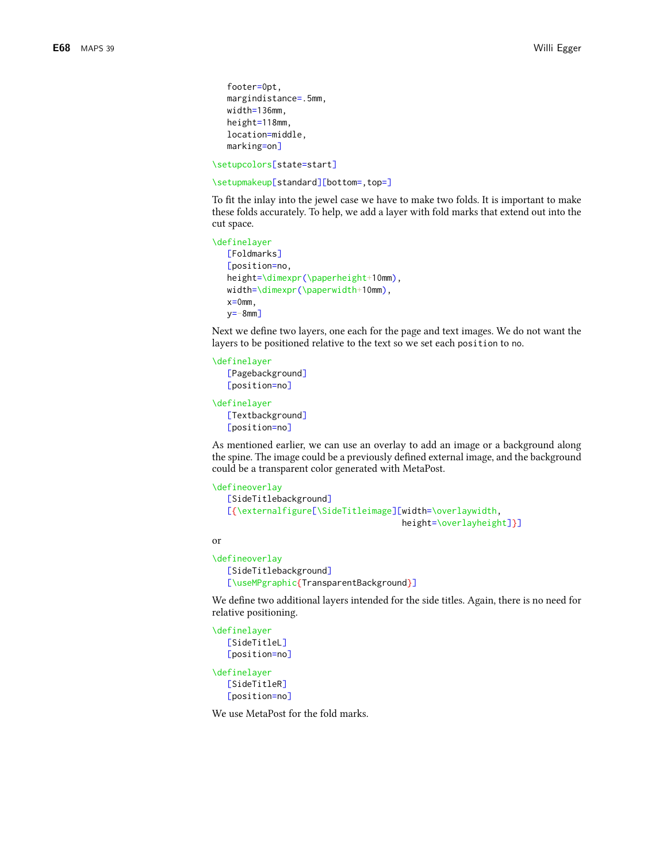```
footer=0pt.
margindistance=.5mm,
width=136mm,
height=118mm,
location=middle.
marking=on]
```
\setupcolors[state=start]

\setupmakeup[standard][bottom=,top=]

To fit the inlay into the jewel case we have to make two folds. It is important to make these folds accurately. To help, we add a layer with fold marks that extend out into the cut space.

```
\definelayer
  [Foldmarks]
  [position=no,
  height=\dimexpr(\paperheight+10mm),
  width=\dimexpr(\paperwidth+10mm),
  x=0mm,
  v=-8mm]
```
Next we define two layers, one each for the page and text images. We do not want the layers to be positioned relative to the text so we set each position to no.

```
\definelayer
```
[Pagebackground] [position=no]

\definelayer [Textbackground]

```
[position=no]
```
As mentioned earlier, we can use an overlay to add an image or a background along the spine. The image could be a previously defined external image, and the background could be a transparent color generated with MetaPost.

```
\defineoverlay
```

```
[SideTitlebackground]
[{\externalfigure[\SideTitleimage][width=\overlaywidth,
                                   height=\overlayheight]}]
```
or

```
\defineoverlay
   [SideTitlebackground]
   [\useMPgraphic{TransparentBackground}]
```
We define two additional layers intended for the side titles. Again, there is no need for relative positioning.

```
\definelayer
   [SideTitleL]
   [position=no]
\definelayer
   [SideTitleR]
   [position=no]
```
We use MetaPost for the fold marks.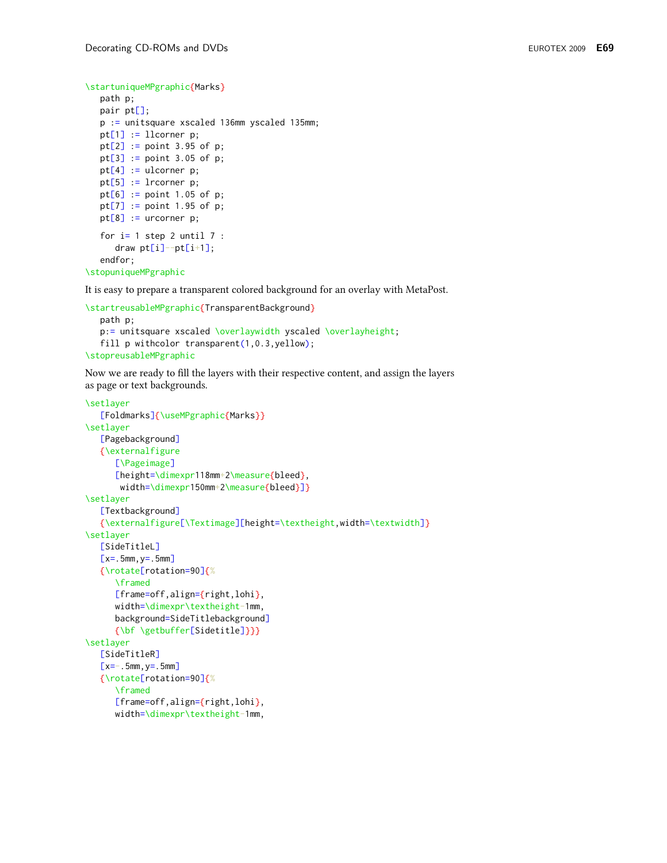```
\startuniqueMPgraphic{Marks}
```

```
path p;
pair pt[];
p := unitsquare xscaled 136mm yscaled 135mm;
pt[1] := 11corner p;
pt[2] := point 3.95 of p;pt[3] := point 3.05 of p;pt[4] := ulcorner p;pt[5] := lrcorner p;pt[6] := point 1.05 of p;pt[7] := point 1.95 of p;pt[8] := urcorner p;for i=1 step 2 until 7 :
   draw pt[i]-pt[i+1];endfor;
```

```
\stopuniqueMPgraphic
```
It is easy to prepare a transparent colored background for an overlay with MetaPost.

```
\startreusableMPgraphic{TransparentBackground}
   path p;
   p:= unitsquare xscaled \overlaywidth yscaled \overlayheight;
   fill p withcolor transparent(1,0.3, yellow);
\stopreusableMPgraphic
```
Now we are ready to fill the layers with their respective content, and assign the layers as page or text backgrounds.

```
\setlayer
   [Foldmarks]{\useMPgraphic{Marks}}
\setlayer
   [Pagebackground]
   {\externalfigure
      [\Pageimage]
      [height=\dim\;118mm+2\measuredangle\;black),
       width=\dimexpr150mm+2\measure{bleed}]}
\setlayer
   [Textbackground]
   {\externalfigure[\Textimage][height=\textheight,width=\textwidth]}
\setlayer
   [SideTitleL]
   [x=.5mm, y=.5mm]
   {\rotate[rotation=90]{%
      \framed
      [frame=off,align={right,lohi},
      width=\dimexpr\textheight-1mm,
      background=SideTitlebackground]
      {\bf \getbuffer[Sidetitle]}}}
\setlayer
   [SideTitleR]
   [x=-.5mm, y=.5mm]
   {\rotate[rotation=90]{%
      \framed
      [frame=off,align={right,lohi},
      width=\dimexpr\textheight-1mm,
```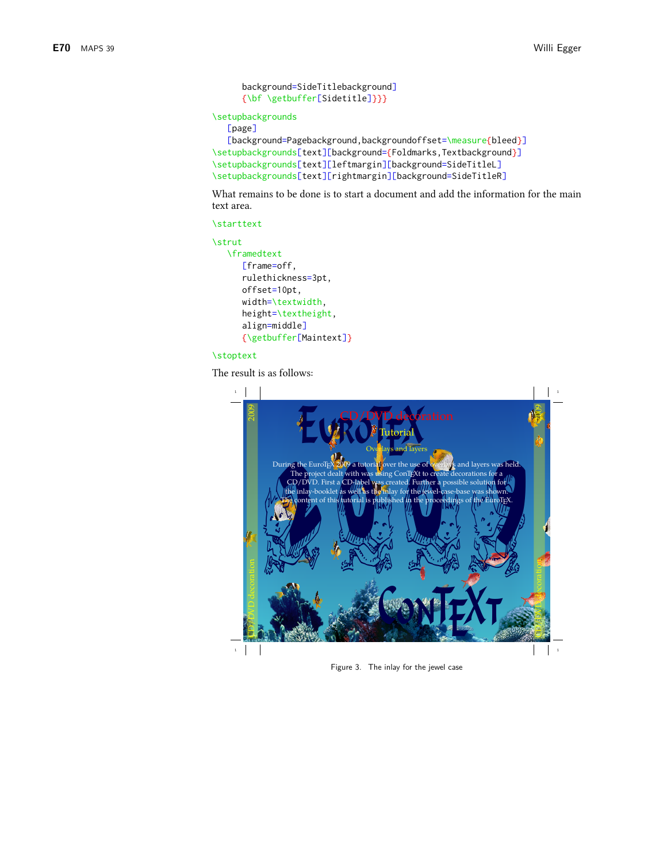```
background=SideTitlebackground]
{\bf \getbuffer[Sidetitle]}}}
```
**\setupbackgrounds** 

```
[page]
```

```
[background=Pagebackground, backgroundoffset=\measure{bleed}]
\setupbackgrounds[text][background={Foldmarks, Textbackground}]
\setupbackgrounds[text][leftmargin][background=SideTitleL]
\setupbackgrounds[text][rightmargin][background=SideTitleR]
```
What remains to be done is to start a document and add the information for the main text area.

```
\starttext
```

```
\strut
```

```
\framedtext
  [frame=off,
   rulethickness=3pt,
   offset=10pt,
   width=\textwidth,
   height=\textheight,
   align=middle]
   {\getbuffer[Maintext]}
```
## **\stoptext**

The result is as follows:



Figure 3. The inlay for the jewel case